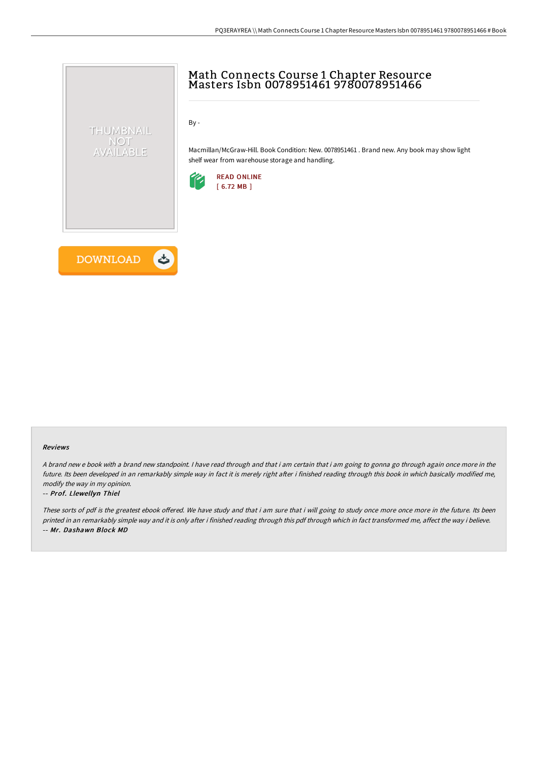# Math Connects Course 1 Chapter Resource Masters Isbn 0078951461 9780078951466

By -

Macmillan/McGraw-Hill. Book Condition: New. 0078951461 . Brand new. Any book may show light shelf wear from warehouse storage and handling.





THUMBNAIL NOT AVAILABLE

### Reviews

A brand new <sup>e</sup> book with <sup>a</sup> brand new standpoint. I have read through and that i am certain that i am going to gonna go through again once more in the future. Its been developed in an remarkably simple way in fact it is merely right after i finished reading through this book in which basically modified me, modify the way in my opinion.

### -- Prof. Llewellyn Thiel

These sorts of pdf is the greatest ebook offered. We have study and that i am sure that i will going to study once more once more in the future. Its been printed in an remarkably simple way and it is only after i finished reading through this pdf through which in fact transformed me, affect the way i believe. -- Mr. Dashawn Block MD